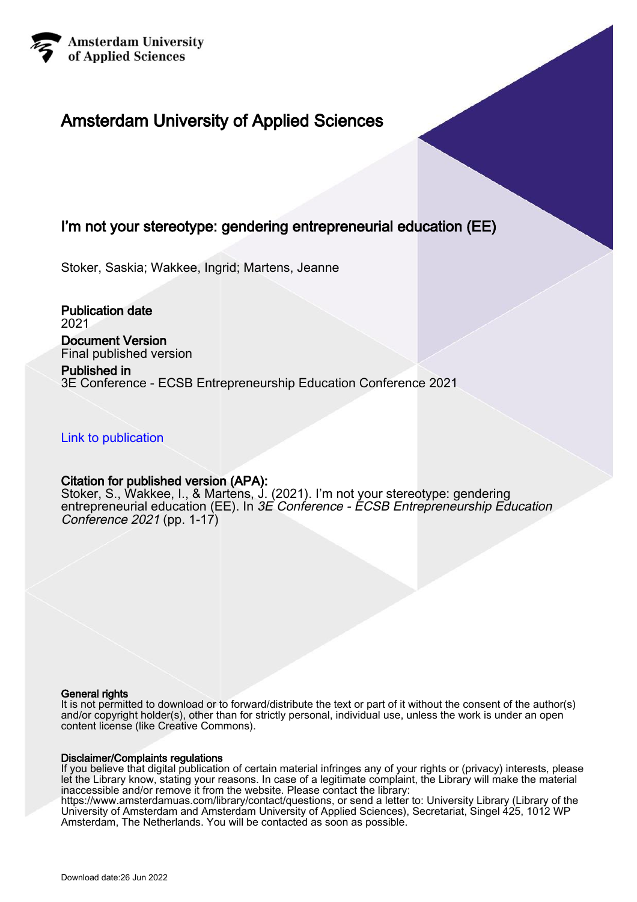

# Amsterdam University of Applied Sciences

# I'm not your stereotype: gendering entrepreneurial education (EE)

Stoker, Saskia; Wakkee, Ingrid; Martens, Jeanne

Publication date 2021 Document Version

Final published version Published in

3E Conference - ECSB Entrepreneurship Education Conference 2021

[Link to publication](https://research.hva.nl/en/publications/5e6af728-c13a-4b7f-9edc-cff5411dca40)

# Citation for published version (APA):

Stoker, S., Wakkee, I., & Martens, J. (2021). I'm not your stereotype: gendering entrepreneurial education (EE). In 3E Conference - ÉCSB Entrepreneurship Education Conference 2021 (pp. 1-17)

#### General rights

It is not permitted to download or to forward/distribute the text or part of it without the consent of the author(s) and/or copyright holder(s), other than for strictly personal, individual use, unless the work is under an open content license (like Creative Commons).

#### Disclaimer/Complaints regulations

If you believe that digital publication of certain material infringes any of your rights or (privacy) interests, please let the Library know, stating your reasons. In case of a legitimate complaint, the Library will make the material inaccessible and/or remove it from the website. Please contact the library:

https://www.amsterdamuas.com/library/contact/questions, or send a letter to: University Library (Library of the University of Amsterdam and Amsterdam University of Applied Sciences), Secretariat, Singel 425, 1012 WP Amsterdam, The Netherlands. You will be contacted as soon as possible.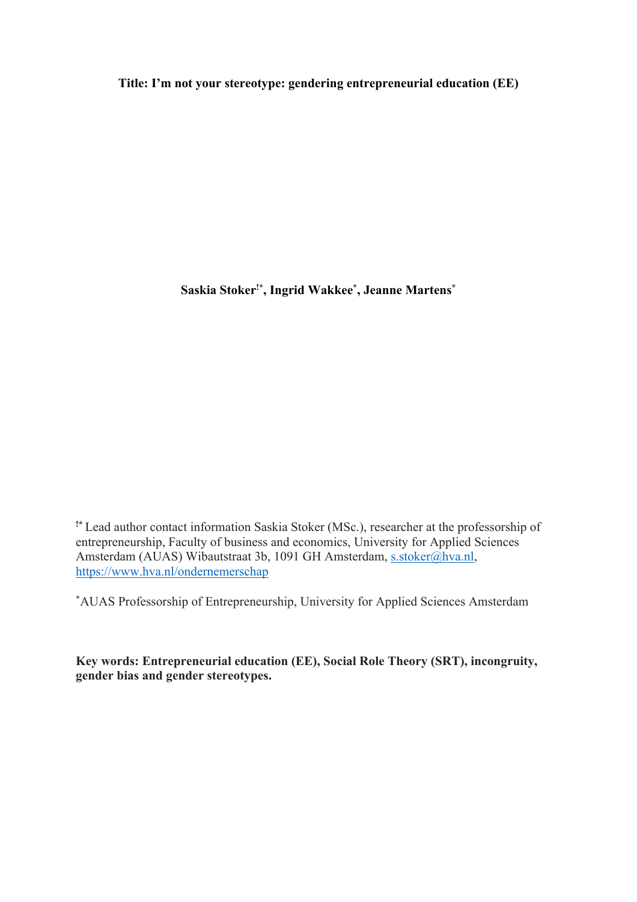**Title: I'm not your stereotype: gendering entrepreneurial education (EE)**

**Saskia Stoker!\* , Ingrid Wakkee\* , Jeanne Martens\***

**!\*** Lead author contact information Saskia Stoker (MSc.), researcher at the professorship of entrepreneurship, Faculty of business and economics, University for Applied Sciences Amsterdam (AUAS) Wibautstraat 3b, 1091 GH Amsterdam, s.stoker@hva.nl, https://www.hva.nl/ondernemerschap

\* AUAS Professorship of Entrepreneurship, University for Applied Sciences Amsterdam

**Key words: Entrepreneurial education (EE), Social Role Theory (SRT), incongruity, gender bias and gender stereotypes.**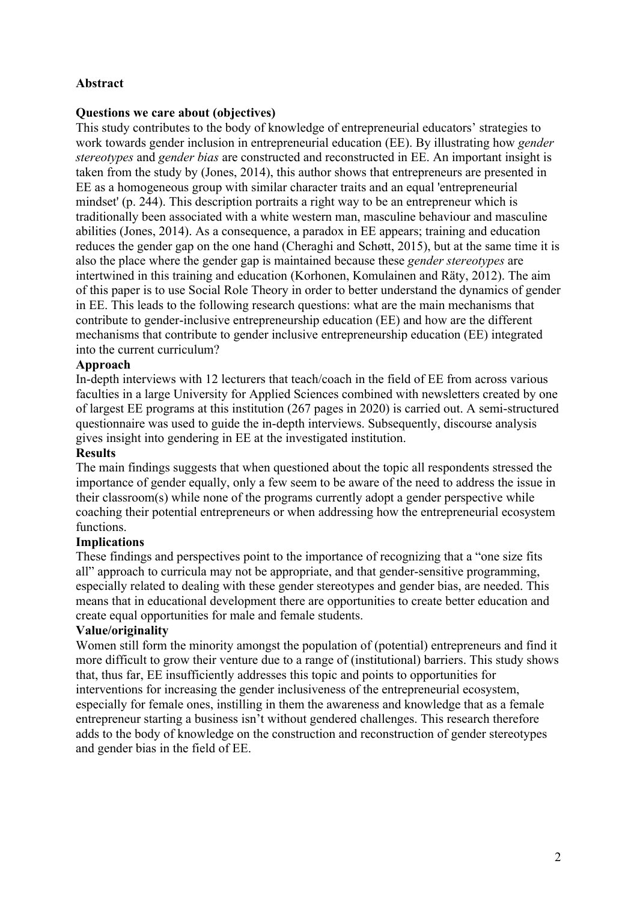# **Abstract**

# **Questions we care about (objectives)**

This study contributes to the body of knowledge of entrepreneurial educators' strategies to work towards gender inclusion in entrepreneurial education (EE). By illustrating how *gender stereotypes* and *gender bias* are constructed and reconstructed in EE. An important insight is taken from the study by (Jones, 2014), this author shows that entrepreneurs are presented in EE as a homogeneous group with similar character traits and an equal 'entrepreneurial mindset' (p. 244). This description portraits a right way to be an entrepreneur which is traditionally been associated with a white western man, masculine behaviour and masculine abilities (Jones, 2014). As a consequence, a paradox in EE appears; training and education reduces the gender gap on the one hand (Cheraghi and Schøtt, 2015), but at the same time it is also the place where the gender gap is maintained because these *gender stereotypes* are intertwined in this training and education (Korhonen, Komulainen and Räty, 2012). The aim of this paper is to use Social Role Theory in order to better understand the dynamics of gender in EE. This leads to the following research questions: what are the main mechanisms that contribute to gender-inclusive entrepreneurship education (EE) and how are the different mechanisms that contribute to gender inclusive entrepreneurship education (EE) integrated into the current curriculum?

# **Approach**

In-depth interviews with 12 lecturers that teach/coach in the field of EE from across various faculties in a large University for Applied Sciences combined with newsletters created by one of largest EE programs at this institution (267 pages in 2020) is carried out. A semi-structured questionnaire was used to guide the in-depth interviews. Subsequently, discourse analysis gives insight into gendering in EE at the investigated institution.

# **Results**

The main findings suggests that when questioned about the topic all respondents stressed the importance of gender equally, only a few seem to be aware of the need to address the issue in their classroom(s) while none of the programs currently adopt a gender perspective while coaching their potential entrepreneurs or when addressing how the entrepreneurial ecosystem functions.

## **Implications**

These findings and perspectives point to the importance of recognizing that a "one size fits all" approach to curricula may not be appropriate, and that gender-sensitive programming, especially related to dealing with these gender stereotypes and gender bias, are needed. This means that in educational development there are opportunities to create better education and create equal opportunities for male and female students.

## **Value/originality**

Women still form the minority amongst the population of (potential) entrepreneurs and find it more difficult to grow their venture due to a range of (institutional) barriers. This study shows that, thus far, EE insufficiently addresses this topic and points to opportunities for interventions for increasing the gender inclusiveness of the entrepreneurial ecosystem, especially for female ones, instilling in them the awareness and knowledge that as a female entrepreneur starting a business isn't without gendered challenges. This research therefore adds to the body of knowledge on the construction and reconstruction of gender stereotypes and gender bias in the field of EE.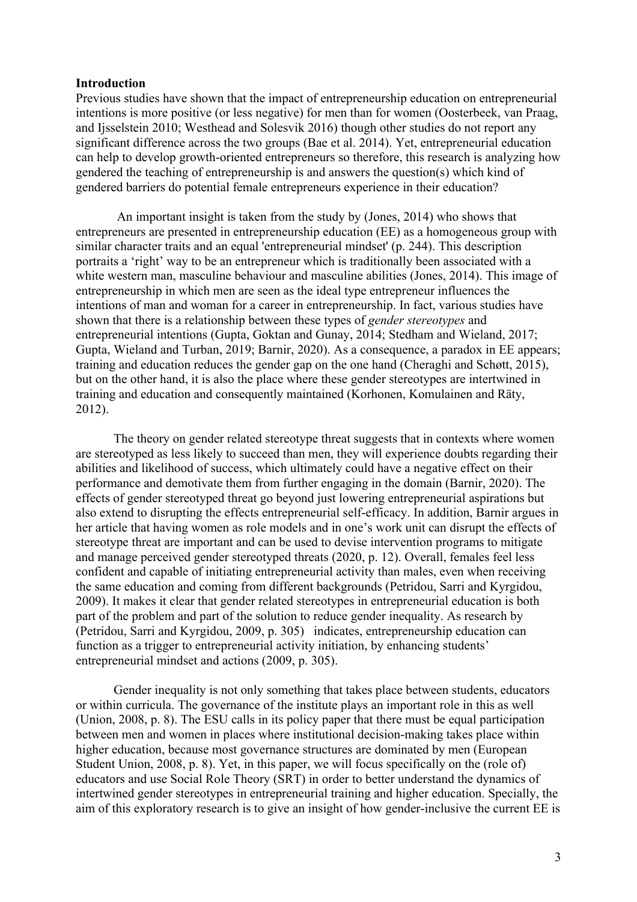#### **Introduction**

Previous studies have shown that the impact of entrepreneurship education on entrepreneurial intentions is more positive (or less negative) for men than for women (Oosterbeek, van Praag, and Ijsselstein 2010; Westhead and Solesvik 2016) though other studies do not report any significant difference across the two groups (Bae et al. 2014). Yet, entrepreneurial education can help to develop growth-oriented entrepreneurs so therefore, this research is analyzing how gendered the teaching of entrepreneurship is and answers the question(s) which kind of gendered barriers do potential female entrepreneurs experience in their education?

An important insight is taken from the study by (Jones, 2014) who shows that entrepreneurs are presented in entrepreneurship education (EE) as a homogeneous group with similar character traits and an equal 'entrepreneurial mindset' (p. 244). This description portraits a 'right' way to be an entrepreneur which is traditionally been associated with a white western man, masculine behaviour and masculine abilities (Jones, 2014). This image of entrepreneurship in which men are seen as the ideal type entrepreneur influences the intentions of man and woman for a career in entrepreneurship. In fact, various studies have shown that there is a relationship between these types of *gender stereotypes* and entrepreneurial intentions (Gupta, Goktan and Gunay, 2014; Stedham and Wieland, 2017; Gupta, Wieland and Turban, 2019; Barnir, 2020). As a consequence, a paradox in EE appears; training and education reduces the gender gap on the one hand (Cheraghi and Schøtt, 2015), but on the other hand, it is also the place where these gender stereotypes are intertwined in training and education and consequently maintained (Korhonen, Komulainen and Räty, 2012).

The theory on gender related stereotype threat suggests that in contexts where women are stereotyped as less likely to succeed than men, they will experience doubts regarding their abilities and likelihood of success, which ultimately could have a negative effect on their performance and demotivate them from further engaging in the domain (Barnir, 2020). The effects of gender stereotyped threat go beyond just lowering entrepreneurial aspirations but also extend to disrupting the effects entrepreneurial self-efficacy. In addition, Barnir argues in her article that having women as role models and in one's work unit can disrupt the effects of stereotype threat are important and can be used to devise intervention programs to mitigate and manage perceived gender stereotyped threats (2020, p. 12). Overall, females feel less confident and capable of initiating entrepreneurial activity than males, even when receiving the same education and coming from different backgrounds (Petridou, Sarri and Kyrgidou, 2009). It makes it clear that gender related stereotypes in entrepreneurial education is both part of the problem and part of the solution to reduce gender inequality. As research by (Petridou, Sarri and Kyrgidou, 2009, p. 305) indicates, entrepreneurship education can function as a trigger to entrepreneurial activity initiation, by enhancing students' entrepreneurial mindset and actions (2009, p. 305).

Gender inequality is not only something that takes place between students, educators or within curricula. The governance of the institute plays an important role in this as well (Union, 2008, p. 8). The ESU calls in its policy paper that there must be equal participation between men and women in places where institutional decision-making takes place within higher education, because most governance structures are dominated by men (European Student Union, 2008, p. 8). Yet, in this paper, we will focus specifically on the (role of) educators and use Social Role Theory (SRT) in order to better understand the dynamics of intertwined gender stereotypes in entrepreneurial training and higher education. Specially, the aim of this exploratory research is to give an insight of how gender-inclusive the current EE is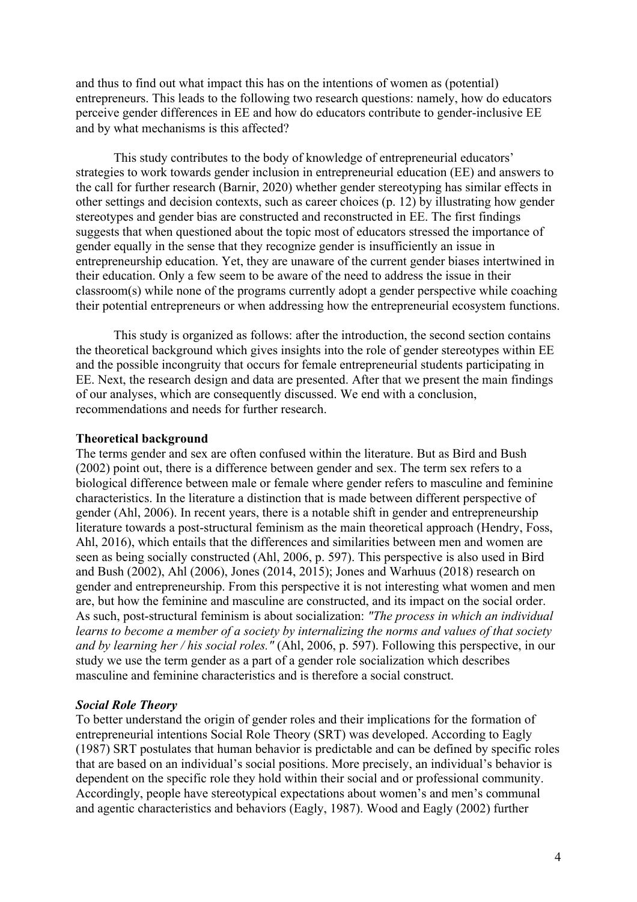and thus to find out what impact this has on the intentions of women as (potential) entrepreneurs. This leads to the following two research questions: namely, how do educators perceive gender differences in EE and how do educators contribute to gender-inclusive EE and by what mechanisms is this affected?

This study contributes to the body of knowledge of entrepreneurial educators' strategies to work towards gender inclusion in entrepreneurial education (EE) and answers to the call for further research (Barnir, 2020) whether gender stereotyping has similar effects in other settings and decision contexts, such as career choices (p. 12) by illustrating how gender stereotypes and gender bias are constructed and reconstructed in EE. The first findings suggests that when questioned about the topic most of educators stressed the importance of gender equally in the sense that they recognize gender is insufficiently an issue in entrepreneurship education. Yet, they are unaware of the current gender biases intertwined in their education. Only a few seem to be aware of the need to address the issue in their classroom(s) while none of the programs currently adopt a gender perspective while coaching their potential entrepreneurs or when addressing how the entrepreneurial ecosystem functions.

This study is organized as follows: after the introduction, the second section contains the theoretical background which gives insights into the role of gender stereotypes within EE and the possible incongruity that occurs for female entrepreneurial students participating in EE. Next, the research design and data are presented. After that we present the main findings of our analyses, which are consequently discussed. We end with a conclusion, recommendations and needs for further research.

## **Theoretical background**

The terms gender and sex are often confused within the literature. But as Bird and Bush (2002) point out, there is a difference between gender and sex. The term sex refers to a biological difference between male or female where gender refers to masculine and feminine characteristics. In the literature a distinction that is made between different perspective of gender (Ahl, 2006). In recent years, there is a notable shift in gender and entrepreneurship literature towards a post-structural feminism as the main theoretical approach (Hendry, Foss, Ahl, 2016), which entails that the differences and similarities between men and women are seen as being socially constructed (Ahl, 2006, p. 597). This perspective is also used in Bird and Bush (2002), Ahl (2006), Jones (2014, 2015); Jones and Warhuus (2018) research on gender and entrepreneurship. From this perspective it is not interesting what women and men are, but how the feminine and masculine are constructed, and its impact on the social order. As such, post-structural feminism is about socialization: *"The process in which an individual learns to become a member of a society by internalizing the norms and values of that society and by learning her / his social roles."* (Ahl, 2006, p. 597). Following this perspective, in our study we use the term gender as a part of a gender role socialization which describes masculine and feminine characteristics and is therefore a social construct.

## *Social Role Theory*

To better understand the origin of gender roles and their implications for the formation of entrepreneurial intentions Social Role Theory (SRT) was developed. According to Eagly (1987) SRT postulates that human behavior is predictable and can be defined by specific roles that are based on an individual's social positions. More precisely, an individual's behavior is dependent on the specific role they hold within their social and or professional community. Accordingly, people have stereotypical expectations about women's and men's communal and agentic characteristics and behaviors (Eagly, 1987). Wood and Eagly (2002) further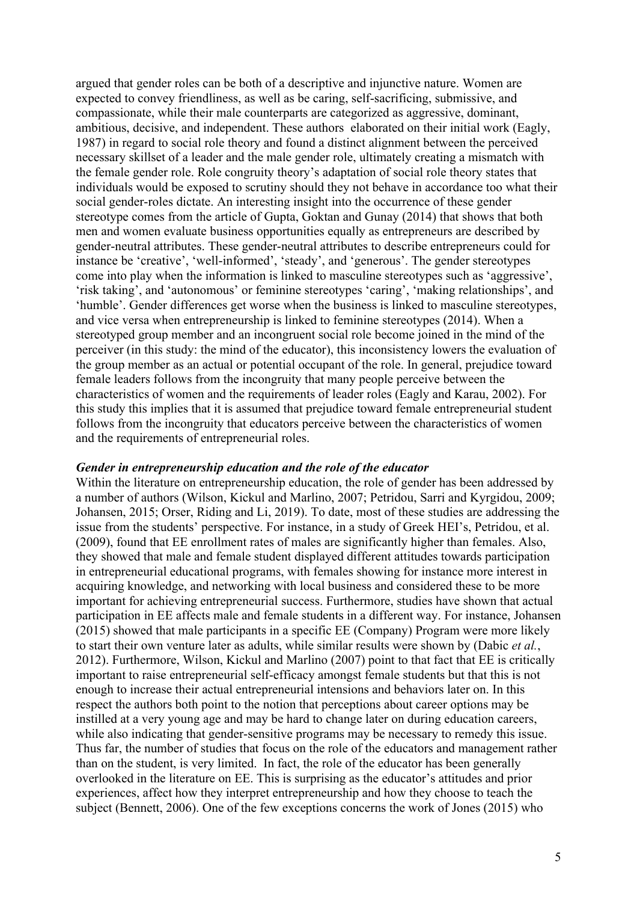argued that gender roles can be both of a descriptive and injunctive nature. Women are expected to convey friendliness, as well as be caring, self-sacrificing, submissive, and compassionate, while their male counterparts are categorized as aggressive, dominant, ambitious, decisive, and independent. These authors elaborated on their initial work (Eagly, 1987) in regard to social role theory and found a distinct alignment between the perceived necessary skillset of a leader and the male gender role, ultimately creating a mismatch with the female gender role. Role congruity theory's adaptation of social role theory states that individuals would be exposed to scrutiny should they not behave in accordance too what their social gender-roles dictate. An interesting insight into the occurrence of these gender stereotype comes from the article of Gupta, Goktan and Gunay (2014) that shows that both men and women evaluate business opportunities equally as entrepreneurs are described by gender-neutral attributes. These gender-neutral attributes to describe entrepreneurs could for instance be 'creative', 'well-informed', 'steady', and 'generous'. The gender stereotypes come into play when the information is linked to masculine stereotypes such as 'aggressive', 'risk taking', and 'autonomous' or feminine stereotypes 'caring', 'making relationships', and 'humble'. Gender differences get worse when the business is linked to masculine stereotypes, and vice versa when entrepreneurship is linked to feminine stereotypes (2014). When a stereotyped group member and an incongruent social role become joined in the mind of the perceiver (in this study: the mind of the educator), this inconsistency lowers the evaluation of the group member as an actual or potential occupant of the role. In general, prejudice toward female leaders follows from the incongruity that many people perceive between the characteristics of women and the requirements of leader roles (Eagly and Karau, 2002). For this study this implies that it is assumed that prejudice toward female entrepreneurial student follows from the incongruity that educators perceive between the characteristics of women and the requirements of entrepreneurial roles.

#### *Gender in entrepreneurship education and the role of the educator*

Within the literature on entrepreneurship education, the role of gender has been addressed by a number of authors (Wilson, Kickul and Marlino, 2007; Petridou, Sarri and Kyrgidou, 2009; Johansen, 2015; Orser, Riding and Li, 2019). To date, most of these studies are addressing the issue from the students' perspective. For instance, in a study of Greek HEI's, Petridou, et al. (2009), found that EE enrollment rates of males are significantly higher than females. Also, they showed that male and female student displayed different attitudes towards participation in entrepreneurial educational programs, with females showing for instance more interest in acquiring knowledge, and networking with local business and considered these to be more important for achieving entrepreneurial success. Furthermore, studies have shown that actual participation in EE affects male and female students in a different way. For instance, Johansen (2015) showed that male participants in a specific EE (Company) Program were more likely to start their own venture later as adults, while similar results were shown by (Dabic *et al.*, 2012). Furthermore, Wilson, Kickul and Marlino (2007) point to that fact that EE is critically important to raise entrepreneurial self-efficacy amongst female students but that this is not enough to increase their actual entrepreneurial intensions and behaviors later on. In this respect the authors both point to the notion that perceptions about career options may be instilled at a very young age and may be hard to change later on during education careers, while also indicating that gender-sensitive programs may be necessary to remedy this issue. Thus far, the number of studies that focus on the role of the educators and management rather than on the student, is very limited. In fact, the role of the educator has been generally overlooked in the literature on EE. This is surprising as the educator's attitudes and prior experiences, affect how they interpret entrepreneurship and how they choose to teach the subject (Bennett, 2006). One of the few exceptions concerns the work of Jones (2015) who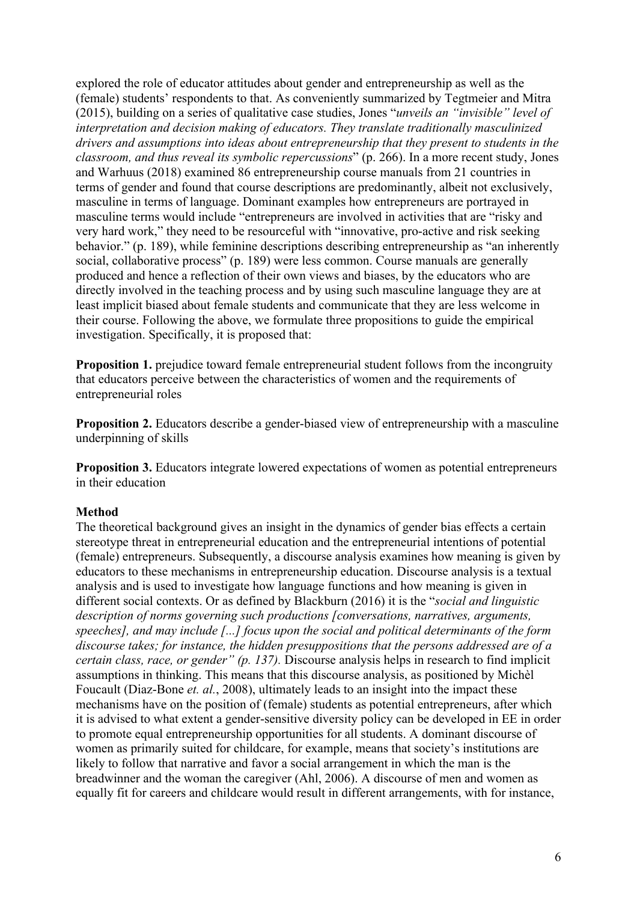explored the role of educator attitudes about gender and entrepreneurship as well as the (female) students' respondents to that. As conveniently summarized by Tegtmeier and Mitra (2015), building on a series of qualitative case studies, Jones "*unveils an "invisible" level of interpretation and decision making of educators. They translate traditionally masculinized drivers and assumptions into ideas about entrepreneurship that they present to students in the classroom, and thus reveal its symbolic repercussions*" (p. 266). In a more recent study, Jones and Warhuus (2018) examined 86 entrepreneurship course manuals from 21 countries in terms of gender and found that course descriptions are predominantly, albeit not exclusively, masculine in terms of language. Dominant examples how entrepreneurs are portrayed in masculine terms would include "entrepreneurs are involved in activities that are "risky and very hard work," they need to be resourceful with "innovative, pro-active and risk seeking behavior." (p. 189), while feminine descriptions describing entrepreneurship as "an inherently social, collaborative process" (p. 189) were less common. Course manuals are generally produced and hence a reflection of their own views and biases, by the educators who are directly involved in the teaching process and by using such masculine language they are at least implicit biased about female students and communicate that they are less welcome in their course. Following the above, we formulate three propositions to guide the empirical investigation. Specifically, it is proposed that:

**Proposition 1.** prejudice toward female entrepreneurial student follows from the incongruity that educators perceive between the characteristics of women and the requirements of entrepreneurial roles

**Proposition 2.** Educators describe a gender-biased view of entrepreneurship with a masculine underpinning of skills

**Proposition 3.** Educators integrate lowered expectations of women as potential entrepreneurs in their education

## **Method**

The theoretical background gives an insight in the dynamics of gender bias effects a certain stereotype threat in entrepreneurial education and the entrepreneurial intentions of potential (female) entrepreneurs. Subsequently, a discourse analysis examines how meaning is given by educators to these mechanisms in entrepreneurship education. Discourse analysis is a textual analysis and is used to investigate how language functions and how meaning is given in different social contexts. Or as defined by Blackburn (2016) it is the "*social and linguistic description of norms governing such productions [conversations, narratives, arguments, speeches], and may include [...] focus upon the social and political determinants of the form discourse takes; for instance, the hidden presuppositions that the persons addressed are of a certain class, race, or gender" (p. 137).* Discourse analysis helps in research to find implicit assumptions in thinking. This means that this discourse analysis, as positioned by Michèl Foucault (Diaz-Bone *et. al.*, 2008), ultimately leads to an insight into the impact these mechanisms have on the position of (female) students as potential entrepreneurs, after which it is advised to what extent a gender-sensitive diversity policy can be developed in EE in order to promote equal entrepreneurship opportunities for all students. A dominant discourse of women as primarily suited for childcare, for example, means that society's institutions are likely to follow that narrative and favor a social arrangement in which the man is the breadwinner and the woman the caregiver (Ahl, 2006). A discourse of men and women as equally fit for careers and childcare would result in different arrangements, with for instance,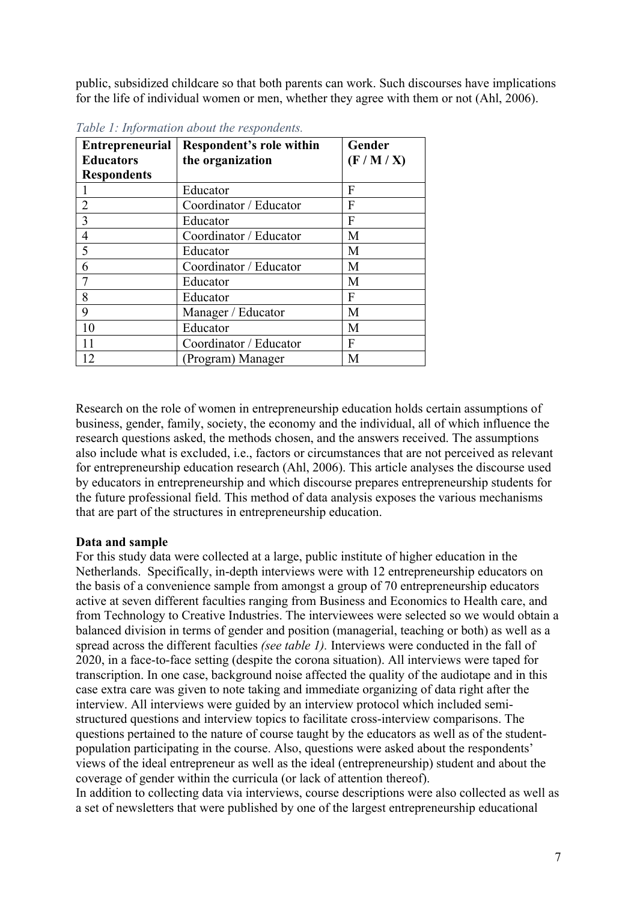public, subsidized childcare so that both parents can work. Such discourses have implications for the life of individual women or men, whether they agree with them or not (Ahl, 2006).

| <b>Entrepreneurial</b> | <b>Respondent's role within</b> | Gender  |
|------------------------|---------------------------------|---------|
| <b>Educators</b>       | the organization                | (F/M/X) |
| <b>Respondents</b>     |                                 |         |
|                        | Educator                        | F       |
| $\overline{2}$         | Coordinator / Educator          | F       |
| $\overline{3}$         | Educator                        | F       |
| $\overline{4}$         | Coordinator / Educator          | M       |
| 5                      | Educator                        | М       |
| 6                      | Coordinator / Educator          | M       |
| 7                      | Educator                        | М       |
| 8                      | Educator                        | F       |
| 9                      | Manager / Educator              | М       |
| 10                     | Educator                        | М       |
|                        | Coordinator / Educator          | F       |
| 12                     | (Program) Manager               | М       |

*Table 1: Information about the respondents.*

Research on the role of women in entrepreneurship education holds certain assumptions of business, gender, family, society, the economy and the individual, all of which influence the research questions asked, the methods chosen, and the answers received. The assumptions also include what is excluded, i.e., factors or circumstances that are not perceived as relevant for entrepreneurship education research (Ahl, 2006). This article analyses the discourse used by educators in entrepreneurship and which discourse prepares entrepreneurship students for the future professional field. This method of data analysis exposes the various mechanisms that are part of the structures in entrepreneurship education.

## **Data and sample**

For this study data were collected at a large, public institute of higher education in the Netherlands. Specifically, in-depth interviews were with 12 entrepreneurship educators on the basis of a convenience sample from amongst a group of 70 entrepreneurship educators active at seven different faculties ranging from Business and Economics to Health care, and from Technology to Creative Industries. The interviewees were selected so we would obtain a balanced division in terms of gender and position (managerial, teaching or both) as well as a spread across the different faculties *(see table 1).* Interviews were conducted in the fall of 2020, in a face-to-face setting (despite the corona situation). All interviews were taped for transcription. In one case, background noise affected the quality of the audiotape and in this case extra care was given to note taking and immediate organizing of data right after the interview. All interviews were guided by an interview protocol which included semistructured questions and interview topics to facilitate cross-interview comparisons. The questions pertained to the nature of course taught by the educators as well as of the studentpopulation participating in the course. Also, questions were asked about the respondents' views of the ideal entrepreneur as well as the ideal (entrepreneurship) student and about the coverage of gender within the curricula (or lack of attention thereof).

In addition to collecting data via interviews, course descriptions were also collected as well as a set of newsletters that were published by one of the largest entrepreneurship educational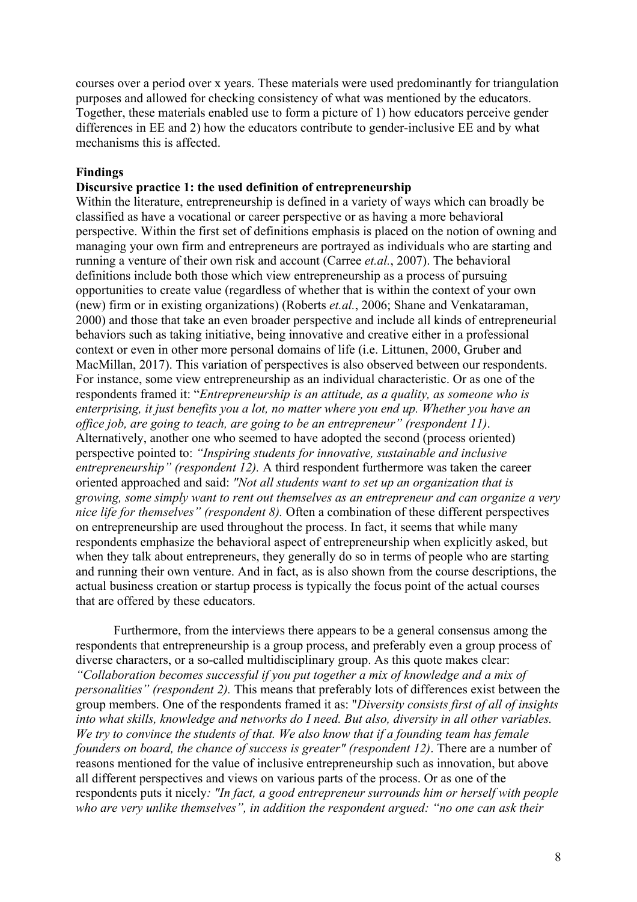courses over a period over x years. These materials were used predominantly for triangulation purposes and allowed for checking consistency of what was mentioned by the educators. Together, these materials enabled use to form a picture of 1) how educators perceive gender differences in EE and 2) how the educators contribute to gender-inclusive EE and by what mechanisms this is affected.

#### **Findings**

#### **Discursive practice 1: the used definition of entrepreneurship**

Within the literature, entrepreneurship is defined in a variety of ways which can broadly be classified as have a vocational or career perspective or as having a more behavioral perspective. Within the first set of definitions emphasis is placed on the notion of owning and managing your own firm and entrepreneurs are portrayed as individuals who are starting and running a venture of their own risk and account (Carree *et.al.*, 2007). The behavioral definitions include both those which view entrepreneurship as a process of pursuing opportunities to create value (regardless of whether that is within the context of your own (new) firm or in existing organizations) (Roberts *et.al.*, 2006; Shane and Venkataraman, 2000) and those that take an even broader perspective and include all kinds of entrepreneurial behaviors such as taking initiative, being innovative and creative either in a professional context or even in other more personal domains of life (i.e. Littunen, 2000, Gruber and MacMillan, 2017). This variation of perspectives is also observed between our respondents. For instance, some view entrepreneurship as an individual characteristic. Or as one of the respondents framed it: "*Entrepreneurship is an attitude, as a quality, as someone who is enterprising, it just benefits you a lot, no matter where you end up. Whether you have an office job, are going to teach, are going to be an entrepreneur" (respondent 11)*. Alternatively, another one who seemed to have adopted the second (process oriented) perspective pointed to: *"Inspiring students for innovative, sustainable and inclusive entrepreneurship" (respondent 12).* A third respondent furthermore was taken the career oriented approached and said: *"Not all students want to set up an organization that is growing, some simply want to rent out themselves as an entrepreneur and can organize a very nice life for themselves" (respondent 8).* Often a combination of these different perspectives on entrepreneurship are used throughout the process. In fact, it seems that while many respondents emphasize the behavioral aspect of entrepreneurship when explicitly asked, but when they talk about entrepreneurs, they generally do so in terms of people who are starting and running their own venture. And in fact, as is also shown from the course descriptions, the actual business creation or startup process is typically the focus point of the actual courses that are offered by these educators.

Furthermore, from the interviews there appears to be a general consensus among the respondents that entrepreneurship is a group process, and preferably even a group process of diverse characters, or a so-called multidisciplinary group. As this quote makes clear: *"Collaboration becomes successful if you put together a mix of knowledge and a mix of personalities" (respondent 2).* This means that preferably lots of differences exist between the group members. One of the respondents framed it as: "*Diversity consists first of all of insights into what skills, knowledge and networks do I need. But also, diversity in all other variables. We try to convince the students of that. We also know that if a founding team has female founders on board, the chance of success is greater" (respondent 12)*. There are a number of reasons mentioned for the value of inclusive entrepreneurship such as innovation, but above all different perspectives and views on various parts of the process. Or as one of the respondents puts it nicely*: "In fact, a good entrepreneur surrounds him or herself with people who are very unlike themselves", in addition the respondent argued: "no one can ask their*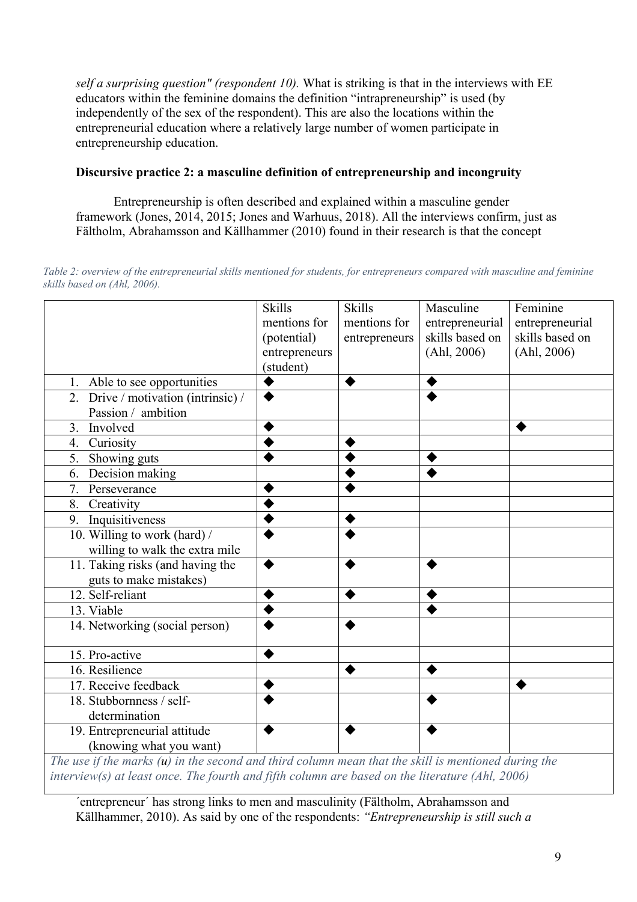*self a surprising question" (respondent 10).* What is striking is that in the interviews with EE educators within the feminine domains the definition "intrapreneurship" is used (by independently of the sex of the respondent). This are also the locations within the entrepreneurial education where a relatively large number of women participate in entrepreneurship education.

# **Discursive practice 2: a masculine definition of entrepreneurship and incongruity**

Entrepreneurship is often described and explained within a masculine gender framework (Jones, 2014, 2015; Jones and Warhuus, 2018). All the interviews confirm, just as Fältholm, Abrahamsson and Källhammer (2010) found in their research is that the concept

*Table 2: overview of the entrepreneurial skills mentioned for students, for entrepreneurs compared with masculine and feminine skills based on (Ahl, 2006).*

| (potential)<br>entrepreneurs<br>(student) | mentions for<br>entrepreneurs | entrepreneurial<br>skills based on<br>(Ahl, 2006) | entrepreneurial<br>skills based on<br>(Ahl, 2006)                           |
|-------------------------------------------|-------------------------------|---------------------------------------------------|-----------------------------------------------------------------------------|
|                                           |                               |                                                   |                                                                             |
|                                           |                               |                                                   |                                                                             |
|                                           |                               |                                                   |                                                                             |
|                                           |                               |                                                   |                                                                             |
|                                           |                               |                                                   |                                                                             |
|                                           |                               |                                                   |                                                                             |
|                                           |                               |                                                   |                                                                             |
|                                           |                               |                                                   |                                                                             |
|                                           |                               |                                                   |                                                                             |
|                                           |                               |                                                   |                                                                             |
|                                           |                               |                                                   |                                                                             |
|                                           |                               |                                                   |                                                                             |
|                                           |                               |                                                   |                                                                             |
|                                           |                               |                                                   |                                                                             |
|                                           |                               |                                                   |                                                                             |
|                                           |                               |                                                   |                                                                             |
|                                           |                               |                                                   |                                                                             |
|                                           |                               |                                                   |                                                                             |
|                                           |                               |                                                   |                                                                             |
|                                           |                               |                                                   |                                                                             |
|                                           |                               |                                                   |                                                                             |
|                                           |                               |                                                   |                                                                             |
|                                           | mentions for<br>$1.1 \cdot 1$ |                                                   | $J \rightarrow J \rightarrow I \rightarrow I \rightarrow I$<br>$11 \cdot 1$ |

*The use if the marks (u) in the second and third column mean that the skill is mentioned during the interview(s) at least once. The fourth and fifth column are based on the literature (Ahl, 2006)*

´entrepreneur´ has strong links to men and masculinity (Fältholm, Abrahamsson and Källhammer, 2010). As said by one of the respondents: *"Entrepreneurship is still such a*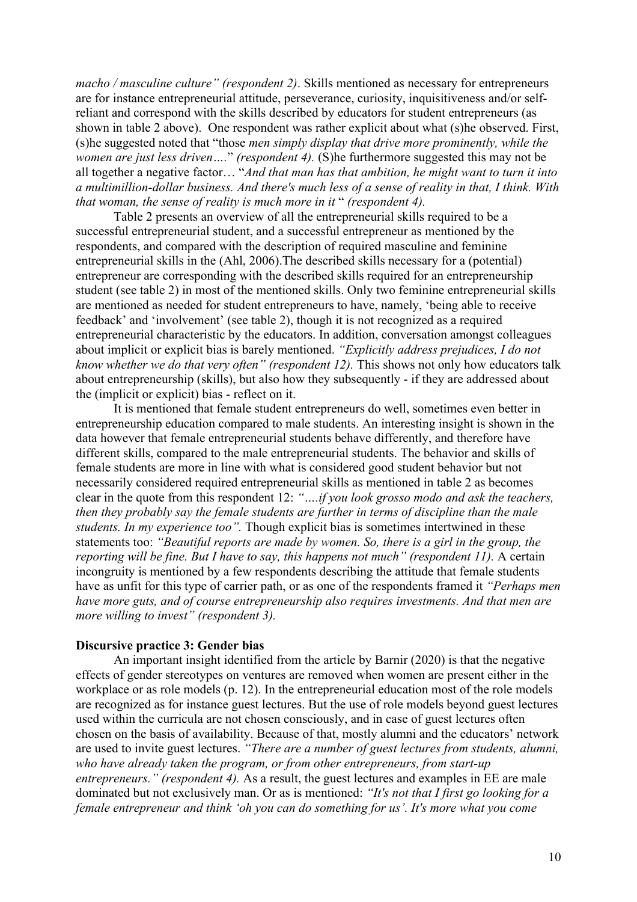*macho / masculine culture" (respondent 2)*. Skills mentioned as necessary for entrepreneurs are for instance entrepreneurial attitude, perseverance, curiosity, inquisitiveness and/or selfreliant and correspond with the skills described by educators for student entrepreneurs (as shown in table 2 above). One respondent was rather explicit about what (s)he observed. First, (s)he suggested noted that "those *men simply display that drive more prominently, while the women are just less driven….*" *(respondent 4).* (S)he furthermore suggested this may not be all together a negative factor… "*And that man has that ambition, he might want to turn it into a multimillion-dollar business. And there's much less of a sense of reality in that, I think. With that woman, the sense of reality is much more in it* " *(respondent 4).* 

Table 2 presents an overview of all the entrepreneurial skills required to be a successful entrepreneurial student, and a successful entrepreneur as mentioned by the respondents, and compared with the description of required masculine and feminine entrepreneurial skills in the (Ahl, 2006).The described skills necessary for a (potential) entrepreneur are corresponding with the described skills required for an entrepreneurship student (see table 2) in most of the mentioned skills. Only two feminine entrepreneurial skills are mentioned as needed for student entrepreneurs to have, namely, 'being able to receive feedback' and 'involvement' (see table 2), though it is not recognized as a required entrepreneurial characteristic by the educators. In addition, conversation amongst colleagues about implicit or explicit bias is barely mentioned. *"Explicitly address prejudices, I do not know whether we do that very often" (respondent 12).* This shows not only how educators talk about entrepreneurship (skills), but also how they subsequently - if they are addressed about the (implicit or explicit) bias - reflect on it.

It is mentioned that female student entrepreneurs do well, sometimes even better in entrepreneurship education compared to male students. An interesting insight is shown in the data however that female entrepreneurial students behave differently, and therefore have different skills, compared to the male entrepreneurial students. The behavior and skills of female students are more in line with what is considered good student behavior but not necessarily considered required entrepreneurial skills as mentioned in table 2 as becomes clear in the quote from this respondent 12: *"….if you look grosso modo and ask the teachers, then they probably say the female students are further in terms of discipline than the male students. In my experience too".* Though explicit bias is sometimes intertwined in these statements too: *"Beautiful reports are made by women. So, there is a girl in the group, the reporting will be fine. But I have to say, this happens not much" (respondent 11).* A certain incongruity is mentioned by a few respondents describing the attitude that female students have as unfit for this type of carrier path, or as one of the respondents framed it *"Perhaps men have more guts, and of course entrepreneurship also requires investments. And that men are more willing to invest" (respondent 3).*

#### **Discursive practice 3: Gender bias**

An important insight identified from the article by Barnir (2020) is that the negative effects of gender stereotypes on ventures are removed when women are present either in the workplace or as role models (p. 12). In the entrepreneurial education most of the role models are recognized as for instance guest lectures. But the use of role models beyond guest lectures used within the curricula are not chosen consciously, and in case of guest lectures often chosen on the basis of availability. Because of that, mostly alumni and the educators' network are used to invite guest lectures. *"There are a number of guest lectures from students, alumni, who have already taken the program, or from other entrepreneurs, from start-up entrepreneurs." (respondent 4).* As a result, the guest lectures and examples in EE are male dominated but not exclusively man. Or as is mentioned: *"It's not that I first go looking for a female entrepreneur and think 'oh you can do something for us'. It's more what you come*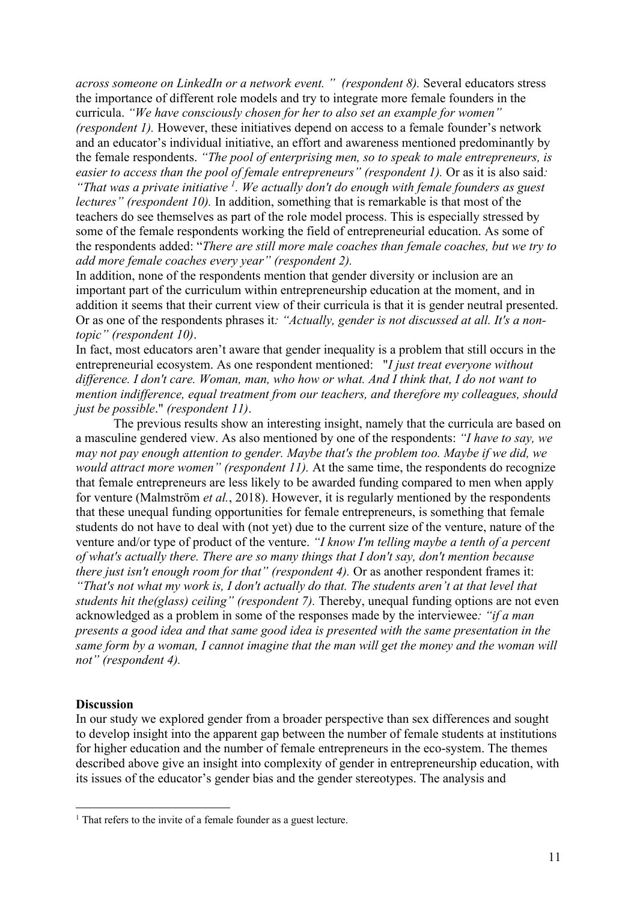*across someone on LinkedIn or a network event. " (respondent 8).* Several educators stress the importance of different role models and try to integrate more female founders in the curricula. *"We have consciously chosen for her to also set an example for women" (respondent 1).* However, these initiatives depend on access to a female founder's network and an educator's individual initiative, an effort and awareness mentioned predominantly by the female respondents. *"The pool of enterprising men, so to speak to male entrepreneurs, is easier to access than the pool of female entrepreneurs" (respondent 1).* Or as it is also said*: "That was a private initiative 1. We actually don't do enough with female founders as guest lectures" (respondent 10).* In addition, something that is remarkable is that most of the teachers do see themselves as part of the role model process. This is especially stressed by some of the female respondents working the field of entrepreneurial education. As some of the respondents added: "*There are still more male coaches than female coaches, but we try to* 

*add more female coaches every year" (respondent 2).* 

In addition, none of the respondents mention that gender diversity or inclusion are an important part of the curriculum within entrepreneurship education at the moment, and in addition it seems that their current view of their curricula is that it is gender neutral presented. Or as one of the respondents phrases it*: "Actually, gender is not discussed at all. It's a nontopic" (respondent 10)*.

In fact, most educators aren't aware that gender inequality is a problem that still occurs in the entrepreneurial ecosystem. As one respondent mentioned: "*I just treat everyone without difference. I don't care. Woman, man, who how or what. And I think that, I do not want to mention indifference, equal treatment from our teachers, and therefore my colleagues, should just be possible*." *(respondent 11)*.

The previous results show an interesting insight, namely that the curricula are based on a masculine gendered view. As also mentioned by one of the respondents: *"I have to say, we may not pay enough attention to gender. Maybe that's the problem too. Maybe if we did, we would attract more women" (respondent 11)*. At the same time, the respondents do recognize that female entrepreneurs are less likely to be awarded funding compared to men when apply for venture (Malmström *et al.*, 2018). However, it is regularly mentioned by the respondents that these unequal funding opportunities for female entrepreneurs, is something that female students do not have to deal with (not yet) due to the current size of the venture, nature of the venture and/or type of product of the venture. *"I know I'm telling maybe a tenth of a percent of what's actually there. There are so many things that I don't say, don't mention because there just isn't enough room for that" (respondent 4).* Or as another respondent frames it: *"That's not what my work is, I don't actually do that. The students aren't at that level that students hit the(glass) ceiling" (respondent 7).* Thereby, unequal funding options are not even acknowledged as a problem in some of the responses made by the interviewee*: "if a man presents a good idea and that same good idea is presented with the same presentation in the same form by a woman, I cannot imagine that the man will get the money and the woman will not" (respondent 4).*

## **Discussion**

In our study we explored gender from a broader perspective than sex differences and sought to develop insight into the apparent gap between the number of female students at institutions for higher education and the number of female entrepreneurs in the eco-system. The themes described above give an insight into complexity of gender in entrepreneurship education, with its issues of the educator's gender bias and the gender stereotypes. The analysis and

<sup>&</sup>lt;sup>1</sup> That refers to the invite of a female founder as a guest lecture.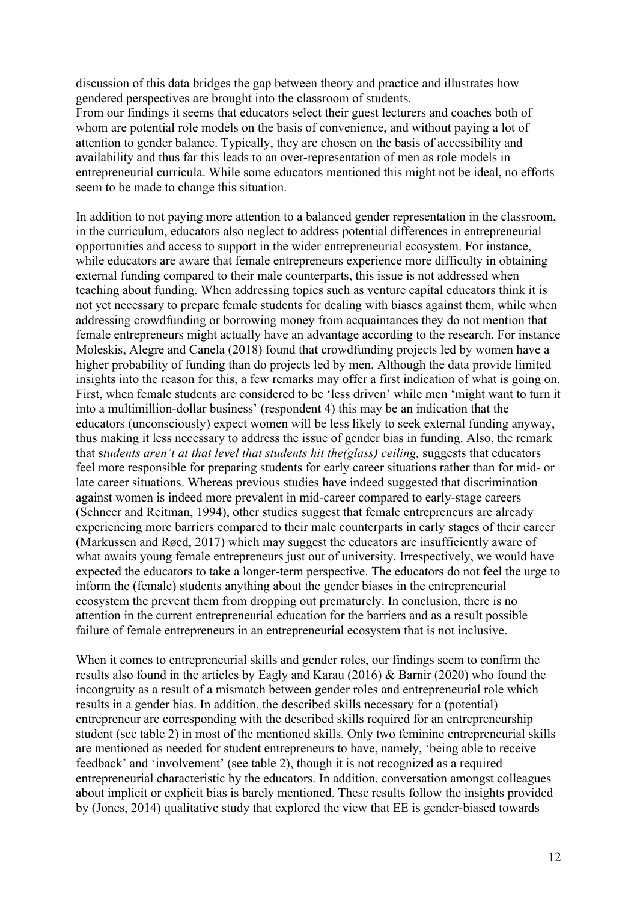discussion of this data bridges the gap between theory and practice and illustrates how gendered perspectives are brought into the classroom of students.

From our findings it seems that educators select their guest lecturers and coaches both of whom are potential role models on the basis of convenience, and without paying a lot of attention to gender balance. Typically, they are chosen on the basis of accessibility and availability and thus far this leads to an over-representation of men as role models in entrepreneurial curricula. While some educators mentioned this might not be ideal, no efforts seem to be made to change this situation.

In addition to not paying more attention to a balanced gender representation in the classroom, in the curriculum, educators also neglect to address potential differences in entrepreneurial opportunities and access to support in the wider entrepreneurial ecosystem. For instance, while educators are aware that female entrepreneurs experience more difficulty in obtaining external funding compared to their male counterparts, this issue is not addressed when teaching about funding. When addressing topics such as venture capital educators think it is not yet necessary to prepare female students for dealing with biases against them, while when addressing crowdfunding or borrowing money from acquaintances they do not mention that female entrepreneurs might actually have an advantage according to the research. For instance Moleskis, Alegre and Canela (2018) found that crowdfunding projects led by women have a higher probability of funding than do projects led by men. Although the data provide limited insights into the reason for this, a few remarks may offer a first indication of what is going on. First, when female students are considered to be 'less driven' while men 'might want to turn it into a multimillion-dollar business' (respondent 4) this may be an indication that the educators (unconsciously) expect women will be less likely to seek external funding anyway, thus making it less necessary to address the issue of gender bias in funding. Also, the remark that s*tudents aren't at that level that students hit the(glass) ceiling,* suggests that educators feel more responsible for preparing students for early career situations rather than for mid- or late career situations. Whereas previous studies have indeed suggested that discrimination against women is indeed more prevalent in mid-career compared to early-stage careers (Schneer and Reitman, 1994), other studies suggest that female entrepreneurs are already experiencing more barriers compared to their male counterparts in early stages of their career (Markussen and Røed, 2017) which may suggest the educators are insufficiently aware of what awaits young female entrepreneurs just out of university. Irrespectively, we would have expected the educators to take a longer-term perspective. The educators do not feel the urge to inform the (female) students anything about the gender biases in the entrepreneurial ecosystem the prevent them from dropping out prematurely. In conclusion, there is no attention in the current entrepreneurial education for the barriers and as a result possible failure of female entrepreneurs in an entrepreneurial ecosystem that is not inclusive.

When it comes to entrepreneurial skills and gender roles, our findings seem to confirm the results also found in the articles by Eagly and Karau (2016) & Barnir (2020) who found the incongruity as a result of a mismatch between gender roles and entrepreneurial role which results in a gender bias. In addition, the described skills necessary for a (potential) entrepreneur are corresponding with the described skills required for an entrepreneurship student (see table 2) in most of the mentioned skills. Only two feminine entrepreneurial skills are mentioned as needed for student entrepreneurs to have, namely, 'being able to receive feedback' and 'involvement' (see table 2), though it is not recognized as a required entrepreneurial characteristic by the educators. In addition, conversation amongst colleagues about implicit or explicit bias is barely mentioned. These results follow the insights provided by (Jones, 2014) qualitative study that explored the view that EE is gender-biased towards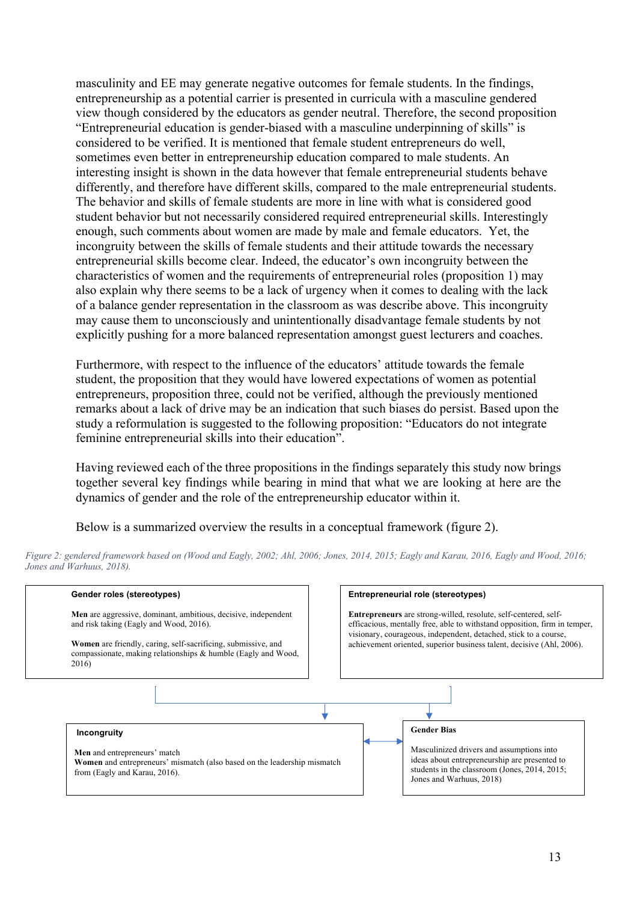masculinity and EE may generate negative outcomes for female students. In the findings, entrepreneurship as a potential carrier is presented in curricula with a masculine gendered view though considered by the educators as gender neutral. Therefore, the second proposition "Entrepreneurial education is gender-biased with a masculine underpinning of skills" is considered to be verified. It is mentioned that female student entrepreneurs do well, sometimes even better in entrepreneurship education compared to male students. An interesting insight is shown in the data however that female entrepreneurial students behave differently, and therefore have different skills, compared to the male entrepreneurial students. The behavior and skills of female students are more in line with what is considered good student behavior but not necessarily considered required entrepreneurial skills. Interestingly enough, such comments about women are made by male and female educators. Yet, the incongruity between the skills of female students and their attitude towards the necessary entrepreneurial skills become clear. Indeed, the educator's own incongruity between the characteristics of women and the requirements of entrepreneurial roles (proposition 1) may also explain why there seems to be a lack of urgency when it comes to dealing with the lack of a balance gender representation in the classroom as was describe above. This incongruity may cause them to unconsciously and unintentionally disadvantage female students by not explicitly pushing for a more balanced representation amongst guest lecturers and coaches.

Furthermore, with respect to the influence of the educators' attitude towards the female student, the proposition that they would have lowered expectations of women as potential entrepreneurs, proposition three, could not be verified, although the previously mentioned remarks about a lack of drive may be an indication that such biases do persist. Based upon the study a reformulation is suggested to the following proposition: "Educators do not integrate feminine entrepreneurial skills into their education".

Having reviewed each of the three propositions in the findings separately this study now brings together several key findings while bearing in mind that what we are looking at here are the dynamics of gender and the role of the entrepreneurship educator within it.

Below is a summarized overview the results in a conceptual framework (figure 2).

| Gender roles (stereotypes)                                                                                                                                                                                                                           | Entrepreneurial role (stereotypes)                                                                                                                                                                                                                                                               |
|------------------------------------------------------------------------------------------------------------------------------------------------------------------------------------------------------------------------------------------------------|--------------------------------------------------------------------------------------------------------------------------------------------------------------------------------------------------------------------------------------------------------------------------------------------------|
| Men are aggressive, dominant, ambitious, decisive, independent<br>and risk taking (Eagly and Wood, 2016).<br>Women are friendly, caring, self-sacrificing, submissive, and<br>compassionate, making relationships & humble (Eagly and Wood,<br>2016) | <b>Entrepreneurs</b> are strong-willed, resolute, self-centered, self-<br>efficacious, mentally free, able to withstand opposition, firm in temper,<br>visionary, courageous, independent, detached, stick to a course,<br>achievement oriented, superior business talent, decisive (Ahl, 2006). |
|                                                                                                                                                                                                                                                      |                                                                                                                                                                                                                                                                                                  |
| Incongruity<br>Men and entrepreneurs' match<br>Women and entrepreneurs' mismatch (also based on the leadership mismatch<br>from (Eagly and Karau, 2016).                                                                                             | <b>Gender Bias</b><br>Masculinized drivers and assumptions into<br>ideas about entrepreneurship are presented to<br>students in the classroom (Jones, 2014, 2015;<br>Jones and Warhuus, 2018)                                                                                                    |

*Figure 2: gendered framework based on (Wood and Eagly, 2002; Ahl, 2006; Jones, 2014, 2015; Eagly and Karau, 2016, Eagly and Wood, 2016; Jones and Warhuus, 2018).*

## 13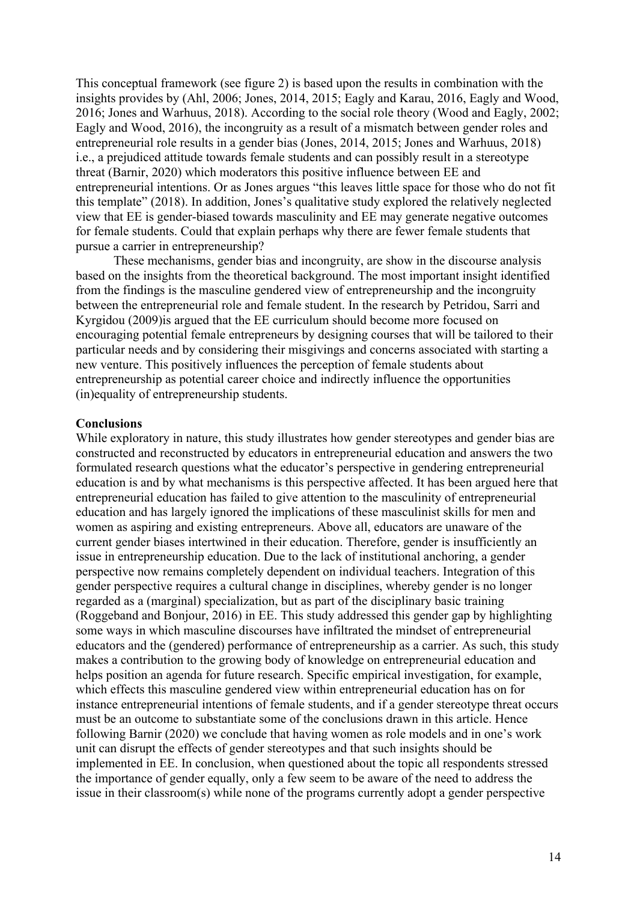This conceptual framework (see figure 2) is based upon the results in combination with the insights provides by (Ahl, 2006; Jones, 2014, 2015; Eagly and Karau, 2016, Eagly and Wood, 2016; Jones and Warhuus, 2018). According to the social role theory (Wood and Eagly, 2002; Eagly and Wood, 2016), the incongruity as a result of a mismatch between gender roles and entrepreneurial role results in a gender bias (Jones, 2014, 2015; Jones and Warhuus, 2018) i.e., a prejudiced attitude towards female students and can possibly result in a stereotype threat (Barnir, 2020) which moderators this positive influence between EE and entrepreneurial intentions. Or as Jones argues "this leaves little space for those who do not fit this template" (2018). In addition, Jones's qualitative study explored the relatively neglected view that EE is gender-biased towards masculinity and EE may generate negative outcomes for female students. Could that explain perhaps why there are fewer female students that pursue a carrier in entrepreneurship?

These mechanisms, gender bias and incongruity, are show in the discourse analysis based on the insights from the theoretical background. The most important insight identified from the findings is the masculine gendered view of entrepreneurship and the incongruity between the entrepreneurial role and female student. In the research by Petridou, Sarri and Kyrgidou (2009)is argued that the EE curriculum should become more focused on encouraging potential female entrepreneurs by designing courses that will be tailored to their particular needs and by considering their misgivings and concerns associated with starting a new venture. This positively influences the perception of female students about entrepreneurship as potential career choice and indirectly influence the opportunities (in)equality of entrepreneurship students.

#### **Conclusions**

While exploratory in nature, this study illustrates how gender stereotypes and gender bias are constructed and reconstructed by educators in entrepreneurial education and answers the two formulated research questions what the educator's perspective in gendering entrepreneurial education is and by what mechanisms is this perspective affected. It has been argued here that entrepreneurial education has failed to give attention to the masculinity of entrepreneurial education and has largely ignored the implications of these masculinist skills for men and women as aspiring and existing entrepreneurs. Above all, educators are unaware of the current gender biases intertwined in their education. Therefore, gender is insufficiently an issue in entrepreneurship education. Due to the lack of institutional anchoring, a gender perspective now remains completely dependent on individual teachers. Integration of this gender perspective requires a cultural change in disciplines, whereby gender is no longer regarded as a (marginal) specialization, but as part of the disciplinary basic training (Roggeband and Bonjour, 2016) in EE. This study addressed this gender gap by highlighting some ways in which masculine discourses have infiltrated the mindset of entrepreneurial educators and the (gendered) performance of entrepreneurship as a carrier. As such, this study makes a contribution to the growing body of knowledge on entrepreneurial education and helps position an agenda for future research. Specific empirical investigation, for example, which effects this masculine gendered view within entrepreneurial education has on for instance entrepreneurial intentions of female students, and if a gender stereotype threat occurs must be an outcome to substantiate some of the conclusions drawn in this article. Hence following Barnir (2020) we conclude that having women as role models and in one's work unit can disrupt the effects of gender stereotypes and that such insights should be implemented in EE. In conclusion, when questioned about the topic all respondents stressed the importance of gender equally, only a few seem to be aware of the need to address the issue in their classroom(s) while none of the programs currently adopt a gender perspective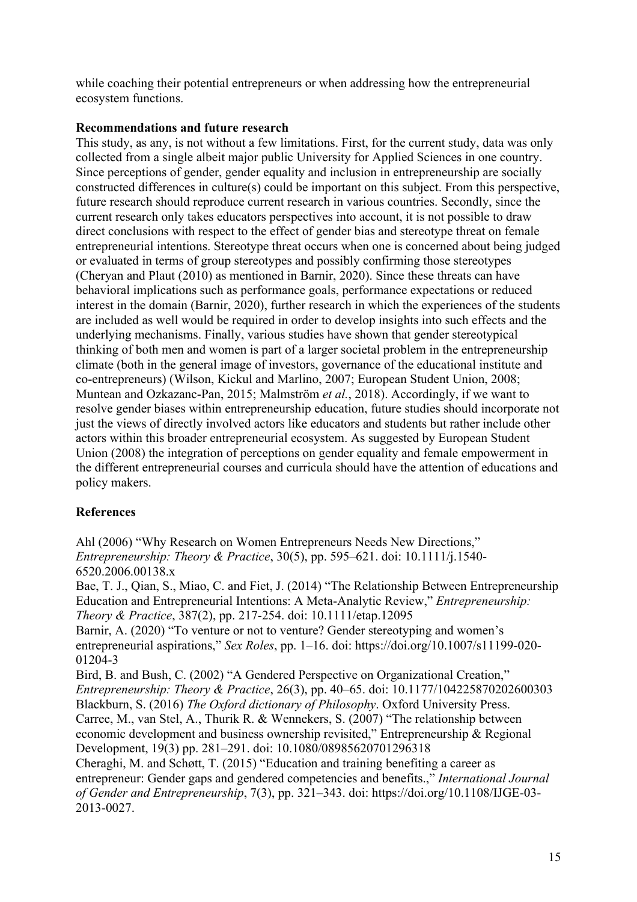while coaching their potential entrepreneurs or when addressing how the entrepreneurial ecosystem functions.

# **Recommendations and future research**

This study, as any, is not without a few limitations. First, for the current study, data was only collected from a single albeit major public University for Applied Sciences in one country. Since perceptions of gender, gender equality and inclusion in entrepreneurship are socially constructed differences in culture(s) could be important on this subject. From this perspective, future research should reproduce current research in various countries. Secondly, since the current research only takes educators perspectives into account, it is not possible to draw direct conclusions with respect to the effect of gender bias and stereotype threat on female entrepreneurial intentions. Stereotype threat occurs when one is concerned about being judged or evaluated in terms of group stereotypes and possibly confirming those stereotypes (Cheryan and Plaut (2010) as mentioned in Barnir, 2020). Since these threats can have behavioral implications such as performance goals, performance expectations or reduced interest in the domain (Barnir, 2020), further research in which the experiences of the students are included as well would be required in order to develop insights into such effects and the underlying mechanisms. Finally, various studies have shown that gender stereotypical thinking of both men and women is part of a larger societal problem in the entrepreneurship climate (both in the general image of investors, governance of the educational institute and co-entrepreneurs) (Wilson, Kickul and Marlino, 2007; European Student Union, 2008; Muntean and Ozkazanc-Pan, 2015; Malmström *et al.*, 2018). Accordingly, if we want to resolve gender biases within entrepreneurship education, future studies should incorporate not just the views of directly involved actors like educators and students but rather include other actors within this broader entrepreneurial ecosystem. As suggested by European Student Union (2008) the integration of perceptions on gender equality and female empowerment in the different entrepreneurial courses and curricula should have the attention of educations and policy makers.

# **References**

Ahl (2006) "Why Research on Women Entrepreneurs Needs New Directions," *Entrepreneurship: Theory & Practice*, 30(5), pp. 595–621. doi: 10.1111/j.1540- 6520.2006.00138.x

Bae, T. J., Qian, S., Miao, C. and Fiet, J. (2014) "The Relationship Between Entrepreneurship Education and Entrepreneurial Intentions: A Meta-Analytic Review," *Entrepreneurship: Theory & Practice*, 387(2), pp. 217-254. doi: 10.1111/etap.12095

Barnir, A. (2020) "To venture or not to venture? Gender stereotyping and women's entrepreneurial aspirations," *Sex Roles*, pp. 1–16. doi: https://doi.org/10.1007/s11199-020- 01204-3

Bird, B. and Bush, C. (2002) "A Gendered Perspective on Organizational Creation," *Entrepreneurship: Theory & Practice*, 26(3), pp. 40–65. doi: 10.1177/104225870202600303 Blackburn, S. (2016) *The Oxford dictionary of Philosophy*. Oxford University Press. Carree, M., van Stel, A., Thurik R. & Wennekers, S. (2007) "The relationship between economic development and business ownership revisited," Entrepreneurship & Regional Development, 19(3) pp. 281–291. doi: 10.1080/08985620701296318

Cheraghi, M. and Schøtt, T. (2015) "Education and training benefiting a career as entrepreneur: Gender gaps and gendered competencies and benefits.," *International Journal of Gender and Entrepreneurship*, 7(3), pp. 321–343. doi: https://doi.org/10.1108/IJGE-03- 2013-0027.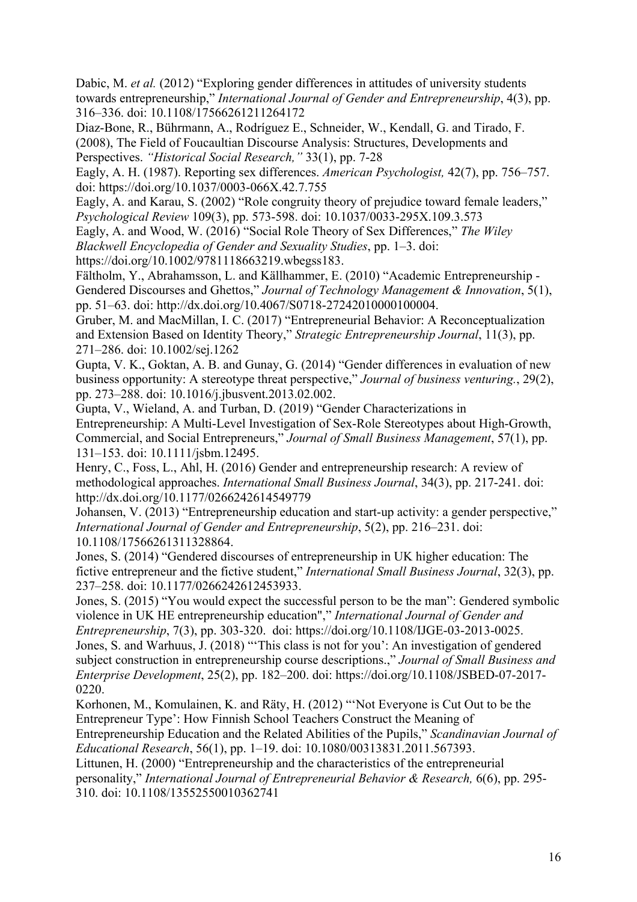Dabic, M. *et al.* (2012) "Exploring gender differences in attitudes of university students towards entrepreneurship," *International Journal of Gender and Entrepreneurship*, 4(3), pp. 316–336. doi: 10.1108/17566261211264172

Diaz-Bone, R., Bührmann, A., Rodríguez E., Schneider, W., Kendall, G. and Tirado, F. (2008), The Field of Foucaultian Discourse Analysis: Structures, Developments and Perspectives. *"Historical Social Research,"* 33(1), pp. 7-28

Eagly, A. H. (1987). Reporting sex differences. *American Psychologist,* 42(7), pp. 756–757. doi: https://doi.org/10.1037/0003-066X.42.7.755

Eagly, A. and Karau, S. (2002) "Role congruity theory of prejudice toward female leaders," *Psychological Review* 109(3), pp. 573-598. doi: 10.1037/0033-295X.109.3.573

Eagly, A. and Wood, W. (2016) "Social Role Theory of Sex Differences," *The Wiley Blackwell Encyclopedia of Gender and Sexuality Studies*, pp. 1–3. doi:

https://doi.org/10.1002/9781118663219.wbegss183.

Fältholm, Y., Abrahamsson, L. and Källhammer, E. (2010) "Academic Entrepreneurship - Gendered Discourses and Ghettos," *Journal of Technology Management & Innovation*, 5(1), pp. 51–63. doi: http://dx.doi.org/10.4067/S0718-27242010000100004.

Gruber, M. and MacMillan, I. C. (2017) "Entrepreneurial Behavior: A Reconceptualization and Extension Based on Identity Theory," *Strategic Entrepreneurship Journal*, 11(3), pp. 271–286. doi: 10.1002/sej.1262

Gupta, V. K., Goktan, A. B. and Gunay, G. (2014) "Gender differences in evaluation of new business opportunity: A stereotype threat perspective," *Journal of business venturing.*, 29(2), pp. 273–288. doi: 10.1016/j.jbusvent.2013.02.002.

Gupta, V., Wieland, A. and Turban, D. (2019) "Gender Characterizations in Entrepreneurship: A Multi-Level Investigation of Sex-Role Stereotypes about High-Growth, Commercial, and Social Entrepreneurs," *Journal of Small Business Management*, 57(1), pp. 131–153. doi: 10.1111/jsbm.12495.

Henry, C., Foss, L., Ahl, H. (2016) Gender and entrepreneurship research: A review of methodological approaches. *International Small Business Journal*, 34(3), pp. 217-241. doi: http://dx.doi.org/10.1177/0266242614549779

Johansen, V. (2013) "Entrepreneurship education and start-up activity: a gender perspective," *International Journal of Gender and Entrepreneurship*, 5(2), pp. 216–231. doi: 10.1108/17566261311328864.

Jones, S. (2014) "Gendered discourses of entrepreneurship in UK higher education: The fictive entrepreneur and the fictive student," *International Small Business Journal*, 32(3), pp. 237–258. doi: 10.1177/0266242612453933.

Jones, S. (2015) "You would expect the successful person to be the man": Gendered symbolic violence in UK HE entrepreneurship education"," *International Journal of Gender and Entrepreneurship*, 7(3), pp. 303-320. doi: https://doi.org/10.1108/IJGE-03-2013-0025. Jones, S. and Warhuus, J. (2018) "'This class is not for you': An investigation of gendered subject construction in entrepreneurship course descriptions.," *Journal of Small Business and Enterprise Development*, 25(2), pp. 182–200. doi: https://doi.org/10.1108/JSBED-07-2017-

0220.

Korhonen, M., Komulainen, K. and Räty, H. (2012) "'Not Everyone is Cut Out to be the Entrepreneur Type': How Finnish School Teachers Construct the Meaning of

Entrepreneurship Education and the Related Abilities of the Pupils," *Scandinavian Journal of Educational Research*, 56(1), pp. 1–19. doi: 10.1080/00313831.2011.567393.

Littunen, H. (2000) "Entrepreneurship and the characteristics of the entrepreneurial personality," *International Journal of Entrepreneurial Behavior & Research,* 6(6), pp. 295- 310. doi: 10.1108/13552550010362741